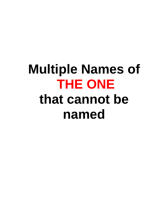# **Multiple Names of THE ONE that cannot be named**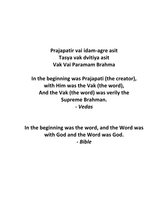**Prajapatir vai idam-agre asit Tasya vak dvitiya asit Vak Vai Paramam Brahma**

**In the beginning was Prajapati (the creator), with Him was the Vak (the word), And the Vak (the word) was verily the Supreme Brahman. -** *Vedas*

**In the beginning was the word, and the Word was with God and the Word was God. -** *Bible*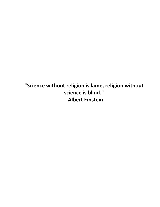**"Science without religion is lame, religion without science is blind." - Albert Einstein**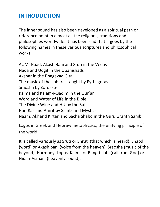# **INTRODUCTION**

The inner sound has also been developed as a spiritual path or reference point in almost all the religions, traditions and philosophies worldwide. It has been said that it goes by the following names in these various scriptures and philosophical works:

AUM, Naad, Akash Bani and Sruti in the Vedas Nada and Udgit in the Upanishads Akshar in the Bhagavad Gita The music of the spheres taught by Pythagoras Sraosha by Zoroaster Kalma and Kalam-i-Qadim in the Qur'an Word and Water of Life in the Bible The Divine Wine and HU by the Sufis Hari Ras and Amrit by Saints and Mystics Naam, Akhand Kirtan and Sacha Shabd in the Guru Granth Sahib

Logos in Greek and Hebrew metaphysics, the unifying principle of the world.

It is called variously as Sruti or Shruti (that which is heard), Shabd (word) or Akash bani (voice from the heaven), Sraosha (music of the beyond), Harmony, Logos, Kalma or Bang-i-Ilahi (call from God) or Nida-i-Asmani (heavenly sound).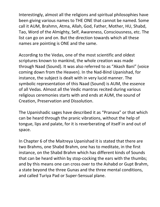Interestingly, almost all the religions and spiritual philosophies have been giving various names to THE ONE that cannot be named. Some call it AUM, Brahmn, Atma, Allah, God, Father, Mother, HU, Shabd, Tao, Word of the Almighty, Self, Awareness, Consciousness, etc. The list can go on and on. But the direction towards which all these names are pointing is ONE and the same.

According to the Vedas, one of the most scientific and oldest scriptures known to mankind, the whole creation was made through Naad (Sound). It was also referred to as "Akash Bani" (voice coming down from the Heaven). In the Nad-Bind Upanishad, for instance, the subject is dealt with in very lucid manner. The symbolic representation of this Naad (Sound) is AUM, the essence of all Vedas. Almost all the Vedic mantras recited during various religious ceremonies starts with and ends at AUM, the sound of Creation, Preservation and Dissolution.

The Upanishadic sages have described it as "Pranava" or that which can be heard through the pranic vibrations, without the help of tongue, lips and palate, for it is reverberating of itself in and out of space.

In Chapter 6 of the Maitreya Upanishad it is stated that there are two Brahms, one Shabd Brahm, one has to meditate, in the first instance, on the Shabd Brahm which has different kinds of Sounds that can be heard within by stop-cocking the ears with the thumbs; and by this means one can cross over to the Ashabd or Gupt Brahm, a state beyond the three Gunas and the three mental conditions, and called Turiya Pad or Super-Sensual plane.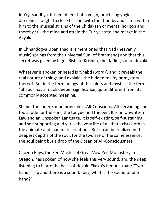In Yog-sandhya, it is enjoined that a yogin, practicing yogic disciplines, ought to close his ears with the thumbs and listen within him to the musical strains of the Chidakash or mental horizon and thereby still the mind and attain the Turiya state and merge in the Avyakat.

In Chhandogya Upanishad it is mentioned that Nad (heavenly music) springs from the universal Sun (of Brahmand) and that this secret was given by Ingris Rishi to Krishna, the darling son of devaki.

Whatever is spoken or heard is 'Shabd (word)', and it reveals the real nature of things and explains the hidden reality or mystery thereof. But in the terminology of the saints and mystics, the term "Shabd" has a much deeper significance, quite different from its commonly accepted meaning.

Shabd, the Inner Sound principle is All-Conscious, All-Pervading and too subtle for the ears, the tongue and the pen. It is an Unwritten Law and an Unspoken Language. It is self-existing, self-sustaining and self-supporting and yet is the very life of all that exists both in the animate and inanimate creations. But it can be realized in the deepest depths of the soul, for the two are of the same essence, the soul being but a drop of the Ocean of All-Consciousness.

Chozen Bays, the Zen Master of Great Vow Zen Monastery in Oregon, has spoken of how she feels this very sound, and the deep listening to it, are the basis of Hakuin Ekaku's famous koan: "Two hands clap and there is a sound; (but) what is the sound of one hand?"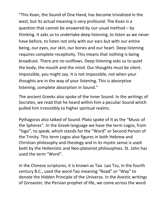"This Koan, the Sound of One Hand, has become trivialized in the west, but its actual meaning is very profound. The Koan is a question that cannot be answered by our usual method – by thinking. It asks us to undertake deep listening, to listen as we never have before, to listen not only with our ears but with our entire being, our eyes, our skin, our bones and our heart. Deep listening requires complete receptivity. This means that nothing is being broadcast. There are no outflows. Deep listening asks us to quiet the body, the mouth and the mind. Our thoughts must be silent. Impossible, you might say. It is not impossible, not when your thoughts are in the way of your listening. This is absorptive listening, complete absorption in Sound."

The ancient Greeks also spoke of the Inner Sound. In the writings of Socrates, we read that he heard within him a peculiar Sound which pulled him irresistibly to higher spiritual realms.

Pythagoras also talked of Sound. Plato spoke of It as the "Music of the Spheres". In the Greek language we have the term Logos, from "logo", to speak, which stands for the "Word" or Second Person of the Trinity. This term Logos also figures in both Hebrew and Christian philosophy and theology and in its mystic sense is used both by the Hellenistic and Neo-platonist philosophies. St. John has used the term "Word".

In the Chinese scriptures, it is known as Tao. Lao Tzu, in the fourth century B.C., used the word Tao meaning "Road" or "Way" to denote the Hidden Principle of the Universe. In the Avestic writings of Zoroaster, the Persian prophet of life, we come across the word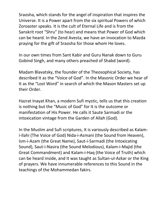Sraosha, which stands for the angel of inspiration that inspires the Universe. It is a Power apart from the six spiritual Powers of which Zoroaster speaks. It is the cult of Eternal Life and is from the Sanskrit root "Shru" (to hear) and means that Power of God which can be heard. In the Zend Avesta, we have an invocation to Mazda praying for the gift of Sraosha for those whom He loves.

In our own times from Sant Kabir and Guru Nanak down to Guru Gobind Singh, and many others preached of Shabd (word).

Madam Blavatsky, the founder of the Theosophical Society, has described It as the "Voice of God". In the Masonic Order we hear of It as the "Lost Word" in search of which the Mason Masters set up their Order.

Hazrat Inayat Khan, a modern Sufi mystic, tells us that this creation is nothing but the "Music of God" for It is the outcome or manifestation of His Power. He calls it Saute Sarmadi or the intoxication vintage from the Garden of Allah (God).

In the Muslim and Sufi scriptures, It is variously described as Kalami-Ilahi (The Voice of God) Nida-i-Asmani (the Sound from Heaven), Ism-i-Azam (the Great Name), Saut-i-Sarmadi (the Intoxicating Sound), Saut-i-Nasira (the Sound Melodious), Kalam-i-Majid (the Great Commandment) and Kalam-i-Haq (the Voice of Truth) which can be heard inside, and It was taught as Sultan-ul-Azkar or the King of prayers. We have innumerable references to this Sound in the teachings of the Mohammedan fakirs.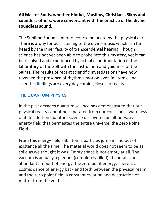#### **All Master-Souls, whether Hindus, Muslims, Christians, Sikhs and countless others, were conversant with the practice of the divine soundless sound.**

The Sublime Sound cannot of course be heard by the physical ears. There is a way for our listening to the divine music which can be heard by the inner faculty of transcendental hearing. Though science has not yet been able to probe into this mystery, yet it can be resolved and experienced by actual experimentation in the laboratory of the Self with the instruction and guidance of the Saints. The results of recent scientific investigations have now revealed the presence of rhythmic motion even in atoms, and scientific findings are every day coming closer to reality.

#### **THE QUANTUM PHYSICS**

In the past decades quantum science has demonstrated that our physical reality cannot be separated from our conscious awareness of it. In addition quantum science discovered an all-pervasive energy field that permeates the entire universe, **the Zero Point Field**.

From this energy field sub atomic particles jump in and out of existence all the time. The material world does not seem to be as solid as we thought it was. Empty space is not empty at all. The vacuum is actually a plenum (completely filled). It contains an abundant amount of energy, the zero point energy. There is a cosmic dance of energy back and forth between the physical realm and the zero point field, a constant creation and destruction of matter from the void.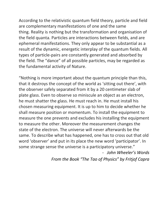According to the relativistic quantum field theory, particle and field are complementary manifestations of one and the same thing. Reality is nothing but the transformation and organisation of the field quanta. Particles are interactions between fields, and are ephemeral manifestations. They only appear to be substantial as a result of the dynamic, energetic interplay of the quantum fields. All types of particle-pairs are constantly generated and absorbed by the field. The "dance" of all possible particles, may be regarded as the fundamental activity of Nature.

"Nothing is more important about the quantum principle than this, that it destroys the concept of the world as 'sitting out there', with the observer safely separated from it by a 20 centimeter slab of plate glass. Even to observe so miniscule an object as an electron, he must shatter the glass. He must reach in. He must install his chosen measuring equipment. It is up to him to decide whether he shall measure position or momentum. To install the equipment to measure the one prevents and excludes his installing the equipment to measure the other. Moreover the measurement changes the state of the electron. The universe will never afterwards be the same. To describe what has happened, one has to cross out that old word 'observer' and put in its place the new word 'participator'. In some strange sense the universe is a participatory universe."

> - *John Wheeler's Words From the Book "The Tao of Physics" by Fritjof Capra*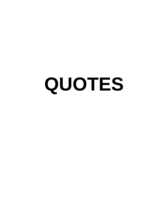# **QUOTES**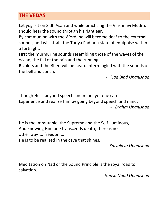#### **THE VEDAS**

Let yogi sit on Sidh Asan and while practicing the Vaishnavi Mudra, should hear the sound through his right ear.

By communion with the Word, he will become deaf to the external sounds, and will attain the Turiya Pad or a state of equipoise within a fortnight.

First the murmuring sounds resembling those of the waves of the ocean, the fall of the rain and the running

Rivulets and the Bheri will be heard intermingled with the sounds of the bell and conch.

- *Nad Bind Upanishad*

Though He is beyond speech and mind, yet one can Experience and realize Him by going beyond speech and mind. - *Brahm Upanishad*

He is the Immutable, the Supreme and the Self-Luminous, And knowing Him one transcends death; there is no other way to freedom…

He is to be realized in the cave that shines.

- *Kaivalaya Upanishad*

-

Meditation on Nad or the Sound Principle is the royal road to salvation.

- *Hansa Naad Upanishad*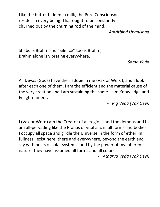Like the butter hidden in milk, the Pure Consciousness resides in every being. That ought to be constantly churned out by the churning rod of the mind.

- *Amritbind Upanishad*

Shabd is Brahm and "Silence" too is Brahm, Brahm alone is vibrating everywhere.

- *Sama Veda*

All Devas (Gods) have their adobe in me (Vak or Word), and I look after each one of them. I am the efficient and the material cause of the very creation and I am sustaining the same. I am Knowledge and Enlightenment.

- *Rig Veda (Vak Devi)*

I (Vak or Word) am the Creator of all regions and the demons and I am all-pervading like the Pranas or vital airs in all forms and bodies. I occupy all space and girdle the Universe in the form of ether. In fullness I exist here, there and everywhere, beyond the earth and sky with hosts of solar systems; and by the power of my inherent nature, they have assumed all forms and all colors.

- *Atharva Veda (Vak Devi)*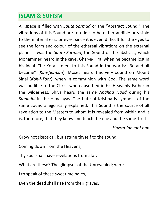## **ISLAM & SUFISM**

All space is filled with *Saute Sarmad* or the "Abstract Sound." The vibrations of this Sound are too fine to be either audible or visible to the material ears or eyes, since it is even difficult for the eyes to see the form and colour of the ethereal vibrations on the external plane. It was the *Saute Sarmad*, the Sound of the abstract, which Mohammed heard in the cave, Ghar-e-Hira, when he became lost in his ideal. The Koran refers to this Sound in the words: "Be and all become" (*Kun-feu-kun*). Moses heard this very sound on Mount Sinai (*Koh-i-Toor*), when in communion with God. The same word was audible to the Christ when absorbed in his Heavenly Father in the wilderness. Shiva heard the same *Anahad Naad* during his *Samadhi* in the Himalayas. The flute of Krishna is symbolic of the same Sound allegorically explained. This Sound is the source of all revelation to the Masters to whom It is revealed from within and it is, therefore, that they know and teach the one and the same Truth.

- *Hazrat Inayat Khan*

Grow not skeptical, but attune thyself to the sound

Coming down from the Heavens,

Thy soul shall have revelations from afar.

What are these? The glimpses of the Unrevealed; were

I to speak of these sweet melodies,

Even the dead shall rise from their graves.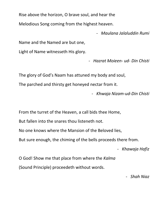Rise above the horizon, O brave soul, and hear the

Melodious Song coming from the highest heaven.

- *Maulana Jalaluddin Rumi* 

Name and the Named are but one,

Light of Name witnesseth His glory.

- *Hazrat Moieen- ud- Din Chisti*

The glory of God's Naam has attuned my body and soul,

The parched and thirsty get honeyed nectar from it.

- *Khwaja Nizam-ud-Din Chisti*

From the turret of the Heaven, a call bids thee Home,

But fallen into the snares thou listeneth not.

No one knows where the Mansion of the Beloved lies,

But sure enough, the chiming of the bells proceeds there from.

- *Khawaja Hafiz*

O God! Show me that place from where the *Kalma* (Sound Principle) proceedeth without words.

- *Shah Niaz*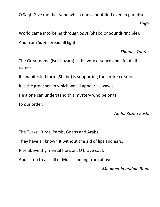O Saqi! Give me that wine which one cannot find even in paradise.

- *Hafiz*

World came into being through *Saut* (Shabd or SoundPrinciple), And from *Saut* spread all light.

- *Shamas Tabrez*

The Great name (ism-i-azam) is the very essence and life of all names.

Its manifested form (Shabd) is supporting the entire creation,

It is the great sea in which we all appear as waves.

He alone can understand this mystery who belongs

to our order.

- *Abdul Razaq Kashi*

The Turks, Kurds, Parsis, Goans and Arabs,

They have all known It without the aid of lips and ears.

Rise above thy mental horizon, O brave soul,

And listen to all call of Music coming from above.

- *Maulana Jalauddin Rumi*

-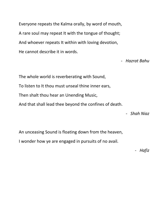Everyone repeats the Kalma orally, by word of mouth, A rare soul may repeat It with the tongue of thought; And whoever repeats It within with loving devotion, He cannot describe it in words.

- *Hazrat Bahu*

The whole world is reverberating with Sound, To listen to It thou must unseal thine inner ears, Then shalt thou hear an Unending Music, And that shall lead thee beyond the confines of death.

- *Shah Niaz*

An unceasing Sound is floating down from the heaven, I wonder how ye are engaged in pursuits of no avail.

- *Hafiz*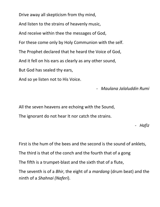Drive away all skepticism from thy mind,

And listen to the strains of heavenly music,

And receive within thee the messages of God,

For these come only by Holy Communion with the self.

The Prophet declared that he heard the Voice of God,

And it fell on his ears as clearly as any other sound,

But God has sealed thy ears,

And so ye listen not to His Voice.

- *Maulana Jalaluddin Rumi*

All the seven heavens are echoing with the Sound, The ignorant do not hear It nor catch the strains.

- *Hafiz*

First is the hum of the bees and the second is the sound of anklets,

The third is that of the conch and the fourth that of a gong

The fifth is a trumpet-blast and the sixth that of a flute,

The seventh is of a *Bhir*, the eight of a *mardang* (drum beat) and the ninth of a *Shahnai (Naferi*).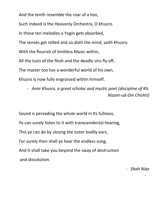And the tenth resemble the roar of a lion,

Such indeed is the Heavenly Orchestra, O Khusro.

In these ten melodies a Yogin gets absorbed,

The senses get stilled and so doth the mind, saith Khusro.

With the flourish of limitless Music within,

All the lusts of the flesh and the deadly sins fly off,

The master too has a wonderful world of his own,

Khusro is now fully engrossed within himself.

- *Amir Khusro, a great scholar and mystic poet (discipline of Kh. Nizam-ud-Din Chishti)*

Sound is pervading the whole world in Its fullness, Ye can surely listen to It with transcendental hearing, This ye can do by closing the outer bodily ears, For surely then shall ye hear the endless song, And It shall take you beyond the sway of destruction and dissolution.

- *Shah Niaz*

-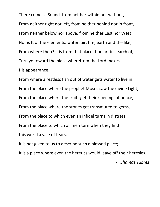There comes a Sound, from neither within nor without, From neither right nor left, from neither behind nor in front, From neither below nor above, from neither East nor West, Nor is It of the elements: water, air, fire, earth and the like; From where then? It is from that place thou art in search of; Turn ye toward the place wherefrom the Lord makes His appearance.

From where a restless fish out of water gets water to live in, From the place where the prophet Moses saw the divine Light, From the place where the fruits get their ripening influence, From the place where the stones get transmuted to gems, From the place to which even an infidel turns in distress, From the place to which all men turn when they find this world a vale of tears.

It is not given to us to describe such a blessed place;

It is a place where even the heretics would leave off their heresies.

- *Shamas Tabrez*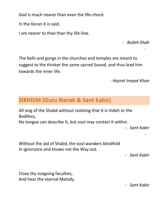God is much nearer than even the life-chord.

In the Koran it is said,

I am nearer to thee than thy life-line.

- *Bulleh Shah*

-

The bells and gongs in the churches and temples are meant to suggest to the thinker the same sacred Sound, and thus lead him towards the inner life.

*- Hazrat Inayat Khan*

# **SIKHISM (Guru Nanak & Sant kabir)**

All sing of the Shabd without realizing that It is Videh or the Bodiless,

No tongue can describe It, but soul may contact It within.

- *Sant Kabir*

-

Without the aid of Shabd, the soul wanders blindfold In ignorance and knows not the Way out.

- *Sant Kabir*

Close thy outgoing faculties, And hear the eternal Melody.

- *Sant Kabir*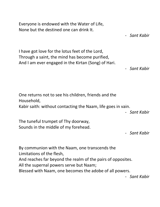Everyone is endowed with the Water of Life, None but the destined one can drink It. - *Sant Kabir* I have got love for the lotus feet of the Lord, Through a saint, the mind has become purified, And I am ever engaged in the Kirtan (Song) of Hari. - *Sant Kabir* One returns not to see his children, friends and the Household, Kabir saith: without contacting the Naam, life goes in vain. - *Sant Kabir* The tuneful trumpet of Thy doorway, Sounds in the middle of my forehead. - *Sant Kabir* By communion with the Naam, one transcends the Limitations of the flesh, And reaches far beyond the realm of the pairs of opposites. All the supernal powers serve but Naam; Blessed with Naam, one becomes the adobe of all powers. - *Sant Kabir*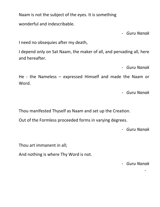Naam is not the subject of the eyes. It is something

wonderful and indescribable.

- *Guru Nanak*

I need no obsequies after my death,

I depend only on Sat Naam, the maker of all, and pervading all, here and hereafter.

- *Guru Nanak*

He - the Nameless – expressed Himself and made the Naam or Word.

- *Guru Nanak*

Thou manifested Thyself as Naam and set up the Creation.

Out of the Formless proceeded forms in varying degrees.

- *Guru Nanak*

Thou art immanent in all;

And nothing is where Thy Word is not.

- *Guru Nanak*

-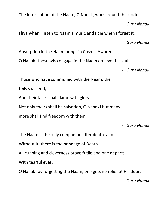The intoxication of the Naam, O Nanak, works round the clock.

- *Guru Nanak*

I live when I listen to Naam's music and I die when I forget it.

- *Guru Nanak*

Absorption in the Naam brings in Cosmic Awareness,

O Nanak! those who engage in the Naam are ever blissful.

- *Guru Nanak*

Those who have communed with the Naam, their

toils shall end,

And their faces shall flame with glory,

Not only theirs shall be salvation, O Nanak! but many

more shall find freedom with them.

- *Guru Nanak*

The Naam is the only companion after death, and

Without It, there is the bondage of Death.

All cunning and cleverness prove futile and one departs

With tearful eyes,

O Nanak! by forgetting the Naam, one gets no relief at His door.

- *Guru Nanak*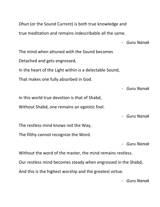*Dhun* (or the Sound Current) is both true knowledge and true meditation and remains indescribable all the same.

- *Guru Nanak* The mind when attuned with the Sound becomes Detached and gets engrossed, In the heart of the Light within is a delectable Sound, That makes one fully absorbed in God.

- *Guru Nanak* In this world true devotion is that of Shabd, Without Shabd, one remains an egoistic fool.

- *Guru Nanak*

The restless mind knows not the Way,

The filthy cannot recognize the Word.

- *Guru Nanak*

Without the word of the master, the mind remains restless. Our restless mind becomes steady when engrossed in the Shabd, And this is the highest worship and the greatest virtue.

- *Guru Nanak*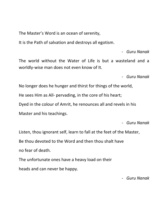The Master's Word is an ocean of serenity,

It is the Path of salvation and destroys all egotism.

- *Guru Nanak*

The world without the Water of Life is but a wasteland and a worldly-wise man does not even know of It.

- *Guru Nanak*

No longer does he hunger and thirst for things of the world, He sees Him as All- pervading, in the core of his heart; Dyed in the colour of Amrit, he renounces all and revels in his Master and his teachings.

- *Guru Nanak*

Listen, thou ignorant self, learn to fall at the feet of the Master, Be thou devoted to the Word and then thou shalt have no fear of death.

The unfortunate ones have a heavy load on their heads and can never be happy.

- *Guru Nanak*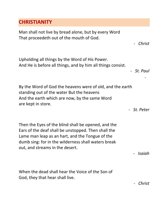#### **CHRISTIANITY**

Man shall not live by bread alone, but by every Word That proceedeth out of the mouth of God.

- *Christ*

Upholding all things by the Word of His Power. And He is before all things, and by him all things consist.

- *St. Paul*

-

By the Word of God the heavens were of old, and the earth standing out of the water But the heavens And the earth which are now, by the same Word are kept in store.

- *St. Peter*

Then the Eyes of the blind shall be opened, and the Ears of the deaf shall be unstopped. Then shall the Lame man leap as an hart, and the Tongue of the dumb sing: for in the wilderness shall waters break out, and streams in the desert.

- *Isaiah*

When the dead shall hear the Voice of the Son of God, they that hear shall live.

- *Christ*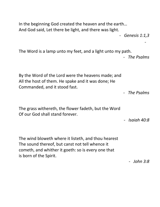In the beginning God created the heaven and the earth… And God said, Let there be light, and there was light. - *Genesis 1:1,3* - The Word is a lamp unto my feet, and a light unto my path. - *The Psalms* By the Word of the Lord were the heavens made; and All the host of them. He spake and it was done; He Commanded, and it stood fast. - *The Psalms* The grass withereth, the flower fadeth, but the Word Of our God shall stand forever. - *Isaiah 40:8* The wind bloweth where it listeth, and thou hearest The sound thereof, but canst not tell whence it cometh, and whither it goeth: so is every one that is born of the Spirit.

- *John 3:8*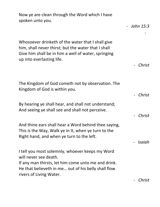Now ye are clean through the Word which I have spoken unto you.

- *John 15:3* - Whosoever drinketh of the water that I shall give him, shall never thirst; but the water that I shall Give him shall be in him a well of water, springing up into everlasting life. - *Christ* The Kingdom of God cometh not by observation. The Kingdom of God is within you. - *Christ* By hearing ye shall hear, and shall not understand; And seeing ye shall see and shall not perceive. - *Christ* And thine ears shall hear a Word behind thee saying, This is the Way, Walk ye in It, when ye turn to the Right hand, and when ye turn to the left. - *Isaiah* I tell you most solemnly, whoever keeps my Word will never see death. If any man thirsts, let him come unto me and drink. He that believeth in me… out of his belly shall flow rivers of Living Water.

- *Christ*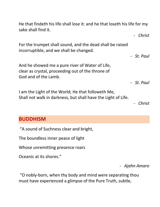He that findeth his life shall lose it: and he that loseth his life for my sake shall find it.

For the trumpet shall sound, and the dead shall be raised incorruptible, and we shall be changed.

And he showed me a pure river of Water of Life, clear as crystal, proceeding out of the throne of God and of the Lamb.

I am the Light of the World; He that followeth Me, Shall not walk in darkness, but shall have the Light of Life.

- *Christ*

#### **BUDDHISM**

"A sound of Suchness clear and bright,

The boundless inner peace of light

Whose unremitting presence roars

Oceanic at its shores."

- *Ajahn Amaro*

"O nobly-born, when thy body and mind were separating thou must have experienced a glimpse of the Pure Truth, subtle,

- *Christ*

- *St. Paul*

- *St. Paul*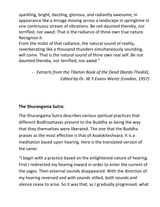sparkling, bright, dazzling, glorious, and radiantly awesome, in appearance like a mirage moving across a landscape in springtime in one continuous stream of vibrations. Be not daunted thereby, nor terrified, nor awed. That is the radiance of thine own true nature. Recognize it.

From the midst of that radiance, the natural sound of reality, reverberating like a thousand thunders simultaneously sounding, will come. That is the natural sound of thine own real self. Be not daunted thereby, nor terrified, nor awed."

> - *Extracts from the Tibetan Book of the Dead (Bardo Thodol), Edited by Dr. W.Y.Evans-Wentz (London, 1957)*

#### **The Shurangama Sutra:**

The Shurangama Sutra describes various spiritual practices that different Bodhisattavas present to the Buddha as being the way that they themselves were liberated. The one that the Buddha praises as the most effective is that of Avalokiteshvara. It is a meditation based upon hearing. Here is the translated version of the same:

"I begin with a practice based on the enlightened nature of hearing. First I redirected my hearing inward in order to enter the current of the sages. Then external sounds disappeared. With the direction of my hearing reversed and with sounds stilled, both sounds and silence cease to arise. So it was that, as I gradually progressed, what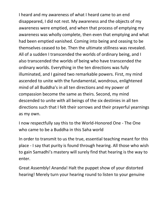I heard and my awareness of what I heard came to an end disappeared, I did not rest. My awareness and the objects of my awareness were emptied, and when that process of emptying my awareness was wholly complete, then even that emptying and what had been emptied vanished. Coming into being and ceasing to be themselves ceased to be. Then the ultimate stillness was revealed. All of a sudden I transcended the worlds of ordinary being, and I also transcended the worlds of being who have transcended the ordinary worlds. Everything in the ten directions was fully illuminated, and I gained two remarkable powers. First, my mind ascended to unite with the fundamental, wondrous, enlightened mind of all Buddha's in all ten directions and my power of compassion become the same as theirs. Second, my mind descended to unite with all beings of the six destinies in all ten directions such that I felt their sorrows and their prayerful yearnings as my own.

I now respectfully say this to the World-Honored One - The One who came to be a Buddha in this Saha world

In order to transmit to us the true, essential teaching meant for this place - I say that purity is found through hearing. All those who wish to gain Samadhi's mastery will surely find that hearing is the way to enter.

Great Assembly! Ananda! Halt the puppet show of your distorted hearing! Merely turn your hearing round to listen to your genuine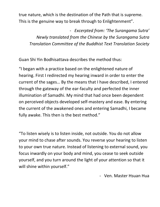true nature, which is the destination of the Path that is supreme. This is the genuine way to break through to Enlightenment".

- *Excerpted from: 'The Surangama Sutra' Newly translated from the Chinese by the Surangama Sutra Translation Committee of the Buddhist Text Translation Society*

Guan Shi Yin Bodhisattava describes the method thus:

"I began with a practice based on the enlightened nature of hearing. First I redirected my hearing inward in order to enter the current of the sages… By the means that I have described, I entered through the gateway of the ear-faculty and perfected the inner illumination of Samadhi. My mind that had once been dependent on perceived objects developed self-mastery and ease. By entering the current of the awakened ones and entering Samadhi, I became fully awake. This then is the best method."

"To listen wisely is to listen inside, not outside. You do not allow your mind to chase after sounds. You reverse your hearing to listen to your own true nature. Instead of listening to external sound, you focus inwardly on your body and mind, you cease to seek outside yourself, and you turn around the light of your attention so that it will shine within yourself."

- Ven. Master Hsuan Hua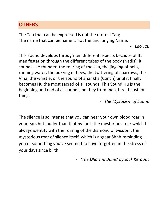### **OTHERS**

The Tao that can be expressed is not the eternal Tao; The name that can be name is not the unchanging Name.

```
- Lao Tzu
```
-

This Sound develops through ten different aspects because of Its manifestation through the different tubes of the body (Nadis); it sounds like thunder, the roaring of the sea, the jingling of bells, running water, the buzzing of bees, the twittering of sparrows, the Vina, the whistle, or the sound of Shankha (Conch) until it finally becomes Hu the most sacred of all sounds. This Sound Hu is the beginning and end of all sounds, be they from man, bird, beast, or thing.

- *The Mysticism of Sound*

The silence is so intense that you can hear your own blood roar in your ears but louder than that by far is the mysterious roar which I always identify with the roaring of the diamond of wisdom, the mysterious roar of silence itself, which is a great Shhh reminding you of something you've seemed to have forgotten in the stress of your days since birth.

- *'The Dharma Bums' by Jack Kerouac*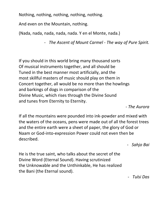Nothing, nothing, nothing, nothing, nothing.

And even on the Mountain, nothing.

(Nada, nada, nada, nada, nada. Y en el Monte, nada.)

- *The Ascent of Mount Carmel - The way of Pure Spirit.* 

If you should in this world bring many thousand sorts Of musical instruments together, and all should be Tuned in the best manner most artificially, and the most skillful masters of music should play on them in Concert together, all would be no more than the howlings and barkings of dogs in comparison of the Divine Music, which rises through the Divine Sound and tunes from Eternity to Eternity.

*- The Aurora*

If all the mountains were pounded into ink-powder and mixed with the waters of the oceans, pens were made out of all the forest trees and the entire earth were a sheet of paper, the glory of God or Naam or God-into-expression Power could not even then be described.

- *Sahjo Bai*

He is the true saint, who talks about the secret of the Divine Word (Eternal Sound). Having scrutinized the Unknowable and the Unthinkable, He has realized the Bani (the Eternal sound).

- *Tulsi Das*